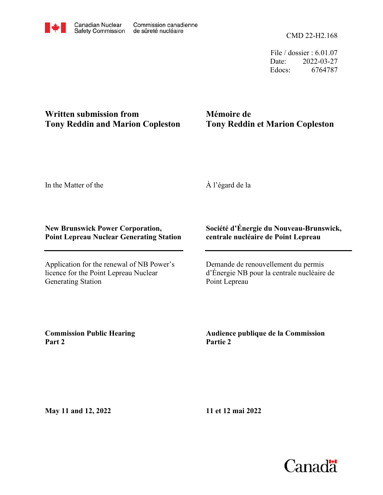File / dossier : 6.01.07 Date: 2022-03-27 Edocs: 6764787

## **Written submission from Tony Reddin and Marion Copleston**

# **Mémoire de Tony Reddin et Marion Copleston**

In the Matter of the

À l'égard de la

### **New Brunswick Power Corporation, Point Lepreau Nuclear Generating Station**

Application for the renewal of NB Power's licence for the Point Lepreau Nuclear Generating Station

### **Société d'Énergie du Nouveau-Brunswick, centrale nucléaire de Point Lepreau**

Demande de renouvellement du permis d'Énergie NB pour la centrale nucléaire de Point Lepreau

**Commission Public Hearing Part 2**

**Audience publique de la Commission Partie 2**

**May 11 and 12, 2022**

**11 et 12 mai 2022**